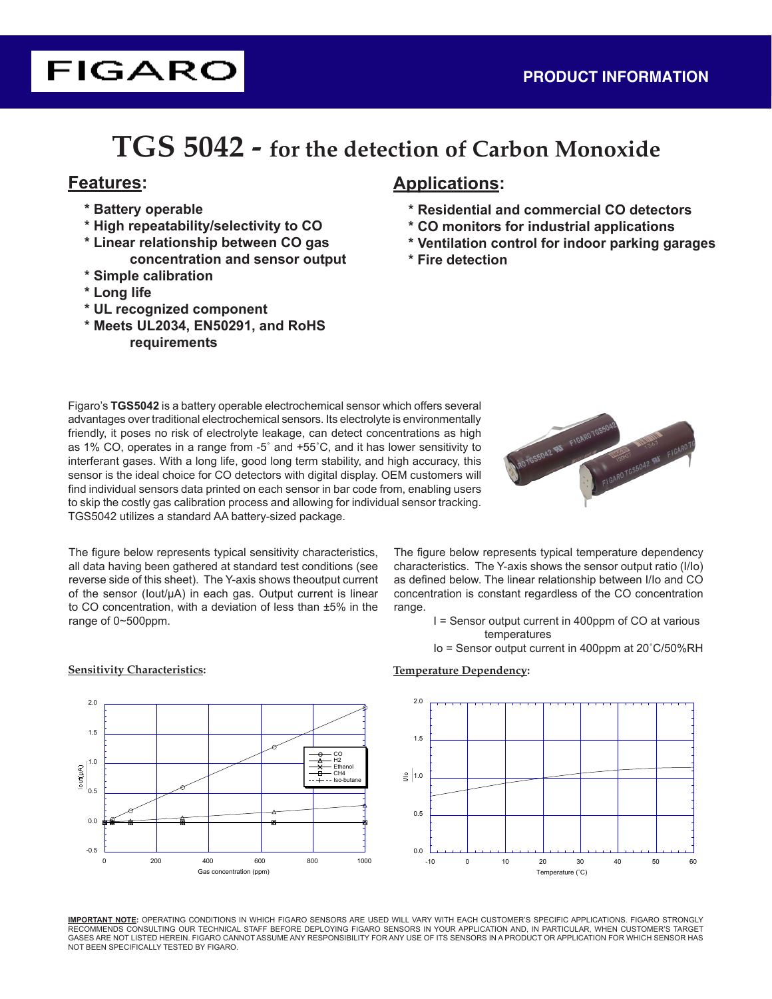# **TGS 5042 - for the detection of Carbon Monoxide**

- **\* Battery operable**
- **\* High repeatability/selectivity to CO**
- **\* Linear relationship between CO gas concentration and sensor output**
- **\* Simple calibration**
- **\* Long life**
- **\* UL recognized component**
- **\* Meets UL2034, EN50291, and RoHS requirements**

## **Features: Applications:**

- **\* Residential and commercial CO detectors**
- **\* CO monitors for industrial applications**
- **\* Ventilation control for indoor parking garages**
- **\* Fire detection**

Figaro's **TGS5042** is a battery operable electrochemical sensor which offers several advantages over traditional electrochemical sensors. Its electrolyte is environmentally friendly, it poses no risk of electrolyte leakage, can detect concentrations as high as 1% CO, operates in a range from -5˚ and +55˚C, and it has lower sensitivity to interferant gases. With a long life, good long term stability, and high accuracy, this sensor is the ideal choice for CO detectors with digital display. OEM customers will find individual sensors data printed on each sensor in bar code from, enabling users to skip the costly gas calibration process and allowing for individual sensor tracking. TGS5042 utilizes a standard AA battery-sized package.



The figure below represents typical sensitivity characteristics, all data having been gathered at standard test conditions (see reverse side of this sheet). The Y-axis shows theoutput current of the sensor (Iout/µA) in each gas. Output current is linear to CO concentration, with a deviation of less than ±5% in the range of 0~500ppm.

The figure below represents typical temperature dependency characteristics. The Y-axis shows the sensor output ratio (I/Io) as defined below. The linear relationship between I/Io and CO concentration is constant regardless of the CO concentration range.

I = Sensor output current in 400ppm of CO at various temperatures

Io = Sensor output current in 400ppm at 20˚C/50%RH



**Sensitivity Characteristics: Temperature Dependency:**

**IMPORTANT NOTE:** OPERATING CONDITIONS IN WHICH FIGARO SENSORS ARE USED WILL VARY WITH EACH CUSTOMER'S SPECIFIC APPLICATIONS. FIGARO STRONGLY RECOMMENDS CONSULTING OUR TECHNICAL STAFF BEFORE DEPLOYING FIGARO SENSORS IN YOUR APPLICATION AND, IN PARTICULAR, WHEN CUSTOMER'S TARGET GASES ARE NOT LISTED HEREIN. FIGARO CANNOT ASSUME ANY RESPONSIBILITY FOR ANY USE OF ITS SENSORS IN A PRODUCT OR APPLICATION FOR WHICH SENSOR HAS NOT BEEN SPECIFICALLY TESTED BY FIGARO.